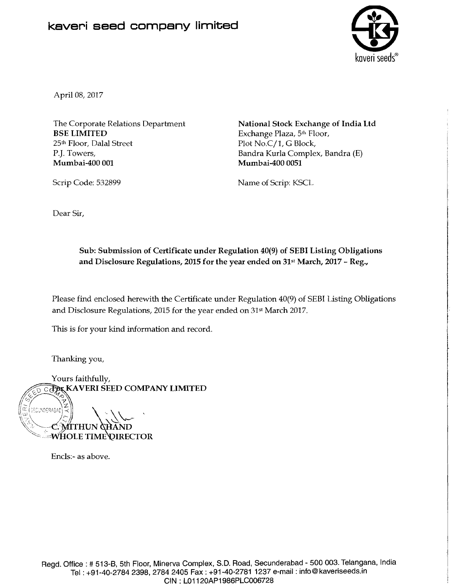## **kaveri seed company limited**



April 08, 2017

The Corporate Relations Department BSE LIMITED 25<sup>th</sup> Floor, Dalal Street P.J. Towers, Mumbai-400 001

National Stock Exchange of India Ltd Exchange Plaza, 5th Floor, Plot No.C/1, G Block, Bandra Kurla Complex, Bandra (E) Mumbai-400 0051

Name of Scrip: KSCL

Dear Sir,

Scrip Code: 532899

Sub: Submission of Certificate under Regulation 40(9) of SEBI Lisling Obligations and Disclosure Regulations, 2015 for the **year** ended on 31st March, 2017 - Reg.,

Please find enclosed herewith the Certificate under Regulation 40(9) of SEBI Listing Obligations and Disclosure Regulations, 2015 for the year ended on 31s' March 2017.

This is for your kind information and record.

Thanking you,

Yours faithfully, **CAPAK KAVERI SEED COMPANY LIMITED** 

SECUNDERABAD **MITHU EWHOLE TIME DIRECTOR** 

Enc1s:- as above.